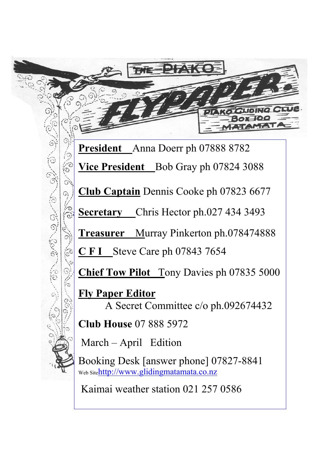**President** Anna Doerr ph 07888 8782 **Vice President** Bob Gray ph 07824 3088 **Club Captain** Dennis Cooke ph 07823 6677 **Secretary** Chris Hector ph.027 434 3493 **Treasurer** Murray Pinkerton ph.078474888 **C F I** Steve Care ph 07843 7654

**Chief Tow Pilot** Tony Davies ph 07835 5000

**Fly Paper Editor** A Secret Committee c/o ph.092674432

**Club House** 07 888 5972

March – April Edition

Booking Desk [answer phone] 07827-8841 Web Sitehttp://www.glidingmatamata.co.nz

Kaimai weather station 021 257 0586

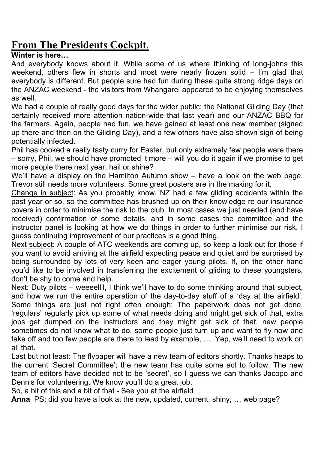# **From The Presidents Cockpit**.

## **Winter is here…**

And everybody knows about it. While some of us where thinking of long-johns this weekend, others flew in shorts and most were nearly frozen solid – I'm glad that everybody is different. But people sure had fun during these quite strong ridge days on the ANZAC weekend - the visitors from Whangarei appeared to be enjoying themselves as well.

We had a couple of really good days for the wider public: the National Gliding Day (that certainly received more attention nation-wide that last year) and our ANZAC BBQ for the farmers. Again, people had fun, we have gained at least one new member (signed up there and then on the Gliding Day), and a few others have also shown sign of being potentially infected.

Phil has cooked a really tasty curry for Easter, but only extremely few people were there – sorry, Phil, we should have promoted it more – will you do it again if we promise to get more people there next year, hail or shine?

We'll have a display on the Hamilton Autumn show – have a look on the web page, Trevor still needs more volunteers. Some great posters are in the making for it.

Change in subject: As you probably know, NZ had a few gliding accidents within the past year or so, so the committee has brushed up on their knowledge re our insurance covers in order to minimise the risk to the club. In most cases we just needed (and have received) confirmation of some details, and in some cases the committee and the instructor panel is looking at how we do things in order to further minimise our risk. I guess continuing improvement of our practices is a good thing.

Next subject: A couple of ATC weekends are coming up, so keep a look out for those if you want to avoid arriving at the airfield expecting peace and quiet and be surprised by being surrounded by lots of very keen and eager young pilots. If, on the other hand you'd like to be involved in transferring the excitement of gliding to these youngsters, don't be shy to come and help.

Next: Duty pilots – weeeellll, I think we'll have to do some thinking around that subject, and how we run the entire operation of the day-to-day stuff of a 'day at the airfield'. Some things are just not right often enough: The paperwork does not get done, 'regulars' regularly pick up some of what needs doing and might get sick of that, extra jobs get dumped on the instructors and they might get sick of that, new people sometimes do not know what to do, some people just turn up and want to fly now and take off and too few people are there to lead by example, …. Yep, we'll need to work on all that.

Last but not least: The flypaper will have a new team of editors shortly. Thanks heaps to the current 'Secret Committee'; the new team has quite some act to follow. The new team of editors have decided not to be 'secret', so I guess we can thanks Jacopo and Dennis for volunteering. We know you'll do a great job.

So, a bit of this and a bit of that - See you at the airfield

**Anna** PS: did you have a look at the new, updated, current, shiny, … web page?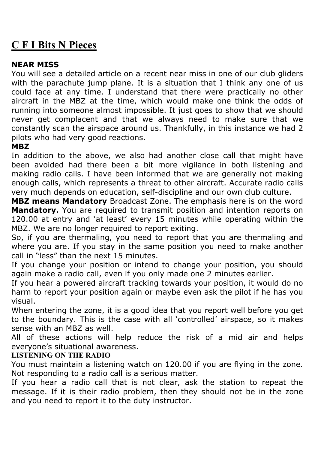# **C F I Bits N Pieces**

## **NEAR MISS**

You will see a detailed article on a recent near miss in one of our club gliders with the parachute jump plane. It is a situation that I think any one of us could face at any time. I understand that there were practically no other aircraft in the MBZ at the time, which would make one think the odds of running into someone almost impossible. It just goes to show that we should never get complacent and that we always need to make sure that we constantly scan the airspace around us. Thankfully, in this instance we had 2 pilots who had very good reactions.

## **MBZ**

In addition to the above, we also had another close call that might have been avoided had there been a bit more vigilance in both listening and making radio calls. I have been informed that we are generally not making enough calls, which represents a threat to other aircraft. Accurate radio calls very much depends on education, self-discipline and our own club culture.

**MBZ means Mandatory** Broadcast Zone. The emphasis here is on the word **Mandatory.** You are required to transmit position and intention reports on 120.00 at entry and 'at least' every 15 minutes while operating within the MBZ. We are no longer required to report exiting.

So, if you are thermaling, you need to report that you are thermaling and where you are. If you stay in the same position you need to make another call in "less" than the next 15 minutes.

If you change your position or intend to change your position, you should again make a radio call, even if you only made one 2 minutes earlier.

If you hear a powered aircraft tracking towards your position, it would do no harm to report your position again or maybe even ask the pilot if he has you visual.

When entering the zone, it is a good idea that you report well before you get to the boundary. This is the case with all 'controlled' airspace, so it makes sense with an MBZ as well.

All of these actions will help reduce the risk of a mid air and helps everyone's situational awareness.

## **LISTENING ON THE RADIO**

You must maintain a listening watch on 120.00 if you are flying in the zone. Not responding to a radio call is a serious matter.

If you hear a radio call that is not clear, ask the station to repeat the message. If it is their radio problem, then they should not be in the zone and you need to report it to the duty instructor.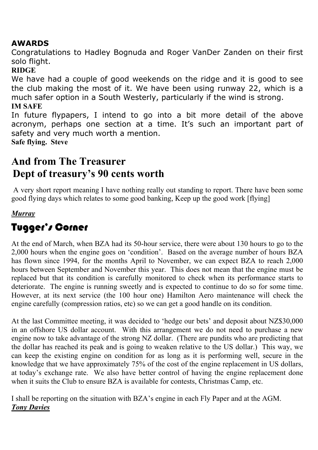## **AWARDS**

Congratulations to Hadley Bognuda and Roger VanDer Zanden on their first solo flight.

## **RIDGE**

We have had a couple of good weekends on the ridge and it is good to see the club making the most of it. We have been using runway 22, which is a much safer option in a South Westerly, particularly if the wind is strong. **IM SAFE**

In future flypapers, I intend to go into a bit more detail of the above acronym, perhaps one section at a time. It's such an important part of safety and very much worth a mention. **Safe flying. Steve**

# **And from The Treasurer Dept of treasury's 90 cents worth**

 A very short report meaning I have nothing really out standing to report. There have been some good flying days which relates to some good banking, Keep up the good work [flying]

## *Murray*

# Tugger's Corner

At the end of March, when BZA had its 50-hour service, there were about 130 hours to go to the 2,000 hours when the engine goes on 'condition'. Based on the average number of hours BZA has flown since 1994, for the months April to November, we can expect BZA to reach 2,000 hours between September and November this year. This does not mean that the engine must be replaced but that its condition is carefully monitored to check when its performance starts to deteriorate. The engine is running sweetly and is expected to continue to do so for some time. However, at its next service (the 100 hour one) Hamilton Aero maintenance will check the engine carefully (compression ratios, etc) so we can get a good handle on its condition.

At the last Committee meeting, it was decided to 'hedge our bets' and deposit about NZ\$30,000 in an offshore US dollar account. With this arrangement we do not need to purchase a new engine now to take advantage of the strong NZ dollar. (There are pundits who are predicting that the dollar has reached its peak and is going to weaken relative to the US dollar.) This way, we can keep the existing engine on condition for as long as it is performing well, secure in the knowledge that we have approximately 75% of the cost of the engine replacement in US dollars, at today's exchange rate. We also have better control of having the engine replacement done when it suits the Club to ensure BZA is available for contests, Christmas Camp, etc.

I shall be reporting on the situation with BZA's engine in each Fly Paper and at the AGM. *Tony Davies*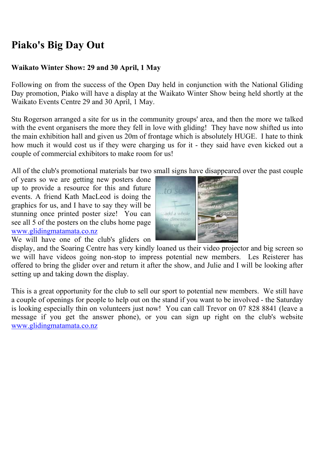# **Piako's Big Day Out**

#### **Waikato Winter Show: 29 and 30 April, 1 May**

Following on from the success of the Open Day held in conjunction with the National Gliding Day promotion, Piako will have a display at the Waikato Winter Show being held shortly at the Waikato Events Centre 29 and 30 April, 1 May.

Stu Rogerson arranged a site for us in the community groups' area, and then the more we talked with the event organisers the more they fell in love with gliding! They have now shifted us into the main exhibition hall and given us 20m of frontage which is absolutely HUGE. I hate to think how much it would cost us if they were charging us for it - they said have even kicked out a couple of commercial exhibitors to make room for us!

All of the club's promotional materials bar two small signs have disappeared over the past couple

of years so we are getting new posters done up to provide a resource for this and future events. A friend Kath MacLeod is doing the graphics for us, and I have to say they will be stunning once printed poster size! You can see all 5 of the posters on the clubs home page www.glidingmatamata.co.nz We will have one of the club's gliders on



display, and the Soaring Centre has very kindly loaned us their video projector and big screen so we will have videos going non-stop to impress potential new members. Les Reisterer has offered to bring the glider over and return it after the show, and Julie and I will be looking after setting up and taking down the display.

This is a great opportunity for the club to sell our sport to potential new members. We still have a couple of openings for people to help out on the stand if you want to be involved - the Saturday is looking especially thin on volunteers just now! You can call Trevor on 07 828 8841 (leave a message if you get the answer phone), or you can sign up right on the club's website www.glidingmatamata.co.nz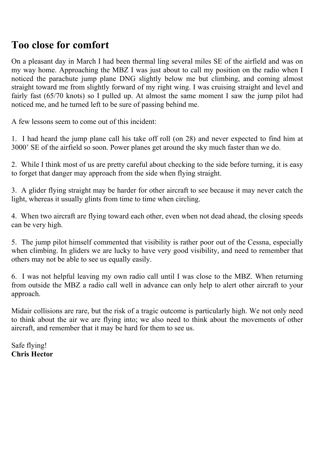# **Too close for comfort**

On a pleasant day in March I had been thermal ling several miles SE of the airfield and was on my way home. Approaching the MBZ I was just about to call my position on the radio when I noticed the parachute jump plane DNG slightly below me but climbing, and coming almost straight toward me from slightly forward of my right wing. I was cruising straight and level and fairly fast (65/70 knots) so I pulled up. At almost the same moment I saw the jump pilot had noticed me, and he turned left to be sure of passing behind me.

A few lessons seem to come out of this incident:

1. I had heard the jump plane call his take off roll (on 28) and never expected to find him at 3000' SE of the airfield so soon. Power planes get around the sky much faster than we do.

2. While I think most of us are pretty careful about checking to the side before turning, it is easy to forget that danger may approach from the side when flying straight.

3. A glider flying straight may be harder for other aircraft to see because it may never catch the light, whereas it usually glints from time to time when circling.

4. When two aircraft are flying toward each other, even when not dead ahead, the closing speeds can be very high.

5. The jump pilot himself commented that visibility is rather poor out of the Cessna, especially when climbing. In gliders we are lucky to have very good visibility, and need to remember that others may not be able to see us equally easily.

6. I was not helpful leaving my own radio call until I was close to the MBZ. When returning from outside the MBZ a radio call well in advance can only help to alert other aircraft to your approach.

Midair collisions are rare, but the risk of a tragic outcome is particularly high. We not only need to think about the air we are flying into; we also need to think about the movements of other aircraft, and remember that it may be hard for them to see us.

Safe flying! **Chris Hector**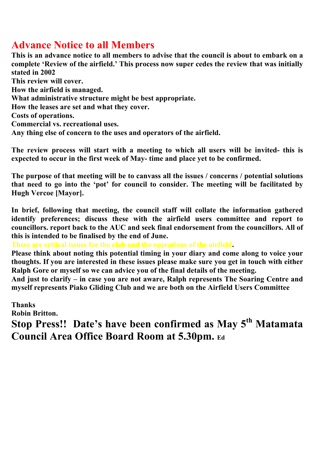## **Advance Notice to all Members**

**This is an advance notice to all members to advise that the council is about to embark on a complete 'Review of the airfield.' This process now super cedes the review that was initially stated in 2002 This review will cover. How the airfield is managed. What administrative structure might be best appropriate. How the leases are set and what they cover. Costs of operations. Commercial vs. recreational uses. Any thing else of concern to the uses and operators of the airfield.**

**The review process will start with a meeting to which all users will be invited- this is expected to occur in the first week of May- time and place yet to be confirmed.**

**The purpose of that meeting will be to canvass all the issues / concerns / potential solutions that need to go into the 'pot' for council to consider. The meeting will be facilitated by Hugh Vercoe [Mayor].**

**In brief, following that meeting, the council staff will collate the information gathered identify preferences; discuss these with the airfield users committee and report to councillors. report back to the AUC and seek final endorsement from the councillors. All of this is intended to be finalised by the end of June.**

**These are critical issues for the club and the operations of the airfield.**

**Please think about noting this potential timing in your diary and come along to voice your thoughts. If you are interested in these issues please make sure you get in touch with either Ralph Gore or myself so we can advice you of the final details of the meeting.**

**And just to clarify – in case you are not aware, Ralph represents The Soaring Centre and myself represents Piako Gliding Club and we are both on the Airfield Users Committee**

**Thanks Robin Britton. Stop Press!! Date's have been confirmed as May 5th Matamata Council Area Office Board Room at 5.30pm. Ed**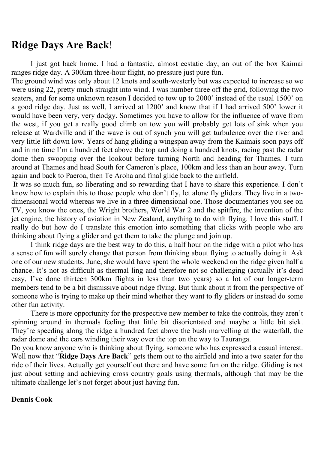## **Ridge Days Are Back**!

I just got back home. I had a fantastic, almost ecstatic day, an out of the box Kaimai ranges ridge day. A 300km three-hour flight, no pressure just pure fun.

The ground wind was only about 12 knots and south-westerly but was expected to increase so we were using 22, pretty much straight into wind. I was number three off the grid, following the two seaters, and for some unknown reason I decided to tow up to 2000' instead of the usual 1500' on a good ridge day. Just as well, I arrived at 1200' and know that if I had arrived 500' lower it would have been very, very dodgy. Sometimes you have to allow for the influence of wave from the west, if you get a really good climb on tow you will probably get lots of sink when you release at Wardville and if the wave is out of synch you will get turbulence over the river and very little lift down low. Years of hang gliding a wingspan away from the Kaimais soon pays off and in no time I'm a hundred feet above the top and doing a hundred knots, racing past the radar dome then swooping over the lookout before turning North and heading for Thames. I turn around at Thames and head South for Cameron's place, 100km and less than an hour away. Turn again and back to Paeroa, then Te Aroha and final glide back to the airfield.

 It was so much fun, so liberating and so rewarding that I have to share this experience. I don't know how to explain this to those people who don't fly, let alone fly gliders. They live in a twodimensional world whereas we live in a three dimensional one. Those documentaries you see on TV, you know the ones, the Wright brothers, World War 2 and the spitfire, the invention of the jet engine, the history of aviation in New Zealand, anything to do with flying. I love this stuff. I really do but how do I translate this emotion into something that clicks with people who are thinking about flying a glider and get them to take the plunge and join up.

I think ridge days are the best way to do this, a half hour on the ridge with a pilot who has a sense of fun will surely change that person from thinking about flying to actually doing it. Ask one of our new students, June, she would have spent the whole weekend on the ridge given half a chance. It's not as difficult as thermal ling and therefore not so challenging (actually it's dead easy, I've done thirteen 300km flights in less than two years) so a lot of our longer-term members tend to be a bit dismissive about ridge flying. But think about it from the perspective of someone who is trying to make up their mind whether they want to fly gliders or instead do some other fun activity.

There is more opportunity for the prospective new member to take the controls, they aren't spinning around in thermals feeling that little bit disorientated and maybe a little bit sick. They're speeding along the ridge a hundred feet above the bush marvelling at the waterfall, the radar dome and the cars winding their way over the top on the way to Tauranga.

Do you know anyone who is thinking about flying, someone who has expressed a casual interest. Well now that "**Ridge Days Are Back**" gets them out to the airfield and into a two seater for the ride of their lives. Actually get yourself out there and have some fun on the ridge. Gliding is not just about setting and achieving cross country goals using thermals, although that may be the ultimate challenge let's not forget about just having fun.

#### **Dennis Cook**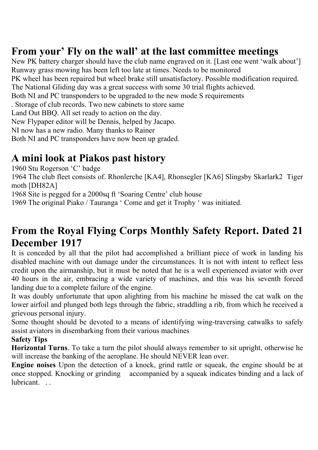# **From your' Fly on the wall' at the last committee meetings**

New PK battery charger should have the club name engraved on it. [Last one went 'walk about'] Runway grass mowing has been left too late at times. Needs to be monitored PK wheel has been repaired but wheel brake still unsatisfactory. Possible modification required. The National Gliding day was a great success with some 30 trial flights achieved. Both NI and PC transponders to be upgraded to the new mode S requirements . Storage of club records. Two new cabinets to store same Land Out BBQ. All set ready to action on the day. New Flypaper editor will be Dennis, helped by Jacapo. NI now has a new radio. Many thanks to Rainer Both NI and PC transponders have now been up graded.

# **A mini look at Piakos past history**

1960 Stu Rogerson 'C' badge

1964 The club fleet consists of. Rhonlerche [KA4], Rhonsegler [KA6] Slingsby Skarlark2 Tiger moth [DH82A]

1968 Site is pegged for a 2000sq ft 'Soaring Centre' club house

1969 The original Piako / Tauranga ' Come and get it Trophy ' was initiated.

# **From the Royal Flying Corps Monthly Safety Report. Dated 21 December 1917**

It is conceded by all that the pilot had accomplished a brilliant piece of work in landing his disabled machine with out damage under the circumstances. It is not with intent to reflect less credit upon the airmanship, but it must be noted that he is a well experienced aviator with over 40 hours in the air, embracing a wide variety of machines, and this was his seventh forced landing due to a complete failure of the engine.

It was doubly unfortunate that upon alighting from his machine he missed the cat walk on the lower airfoil and plunged both legs through the fabric, straddling a rib, from which he received a grievous personal injury.

Some thought should be devoted to a means of identifying wing-traversing catwalks to safely assist aviators in disembarking from their various machines

## **Safety Tips**

**Horizontal Turns**. To take a turn the pilot should always remember to sit upright, otherwise he will increase the banking of the aeroplane. He should NEVER lean over.

**Engine noises** Upon the detection of a knock, grind rattle or squeak, the engine should be at once stopped. Knocking or grinding accompanied by a squeak indicates binding and a lack of lubricant.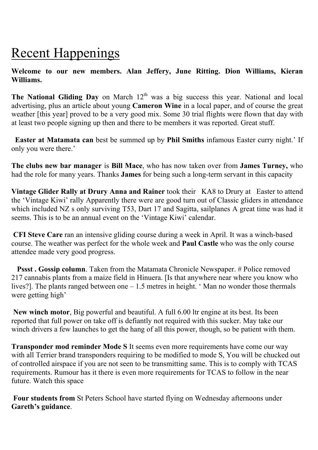# Recent Happenings

### **Welcome to our new members. Alan Jeffery, June Ritting. Dion Williams, Kieran Williams.**

The National Gliding Day on March 12<sup>th</sup> was a big success this year. National and local advertising, plus an article about young **Cameron Wine** in a local paper, and of course the great weather [this year] proved to be a very good mix. Some 30 trial flights were flown that day with at least two people signing up then and there to be members it was reported. Great stuff.

 **Easter at Matamata can** best be summed up by **Phil Smiths** infamous Easter curry night.' If only you were there.'

**The clubs new bar manager** is **Bill Mace**, who has now taken over from **James Turney,** who had the role for many years. Thanks **James** for being such a long-term servant in this capacity

**Vintage Glider Rally at Drury Anna and Rainer** took their KA8 to Drury at Easter to attend the 'Vintage Kiwi' rally Apparently there were are good turn out of Classic gliders in attendance which included NZ s only surviving T53, Dart 17 and Sagitta, sailplanes A great time was had it seems. This is to be an annual event on the 'Vintage Kiwi' calendar.

**CFI Steve Care** ran an intensive gliding course during a week in April. It was a winch-based course. The weather was perfect for the whole week and **Paul Castle** who was the only course attendee made very good progress.

**Pssst. Gossip column**. Taken from the Matamata Chronicle Newspaper. # Police removed 217 cannabis plants from a maize field in Hinuera. [Is that anywhere near where you know who lives?]. The plants ranged between one – 1.5 metres in height. ' Man no wonder those thermals were getting high'

**New winch motor**, Big powerful and beautiful. A full 6.00 ltr engine at its best. Its been reported that full power on take off is defiantly not required with this sucker. May take our winch drivers a few launches to get the hang of all this power, though, so be patient with them.

**Transponder mod reminder Mode S** It seems even more requirements have come our way with all Terrier brand transponders requiring to be modified to mode S, You will be chucked out of controlled airspace if you are not seen to be transmitting same. This is to comply with TCAS requirements. Rumour has it there is even more requirements for TCAS to follow in the near future. Watch this space

 **Four students from** St Peters School have started flying on Wednesday afternoons under **Gareth's guidance**.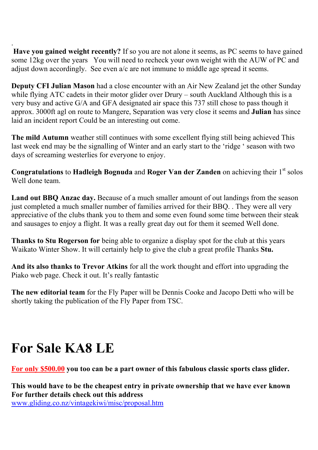. Have you gained weight recently? If so you are not alone it seems, as PC seems to have gained some 12kg over the years You will need to recheck your own weight with the AUW of PC and adjust down accordingly. See even a/c are not immune to middle age spread it seems.

**Deputy CFI Julian Mason** had a close encounter with an Air New Zealand jet the other Sunday while flying ATC cadets in their motor glider over Drury – south Auckland Although this is a very busy and active G/A and GFA designated air space this 737 still chose to pass though it approx. 3000ft agl on route to Mangere, Separation was very close it seems and **Julian** has since laid an incident report Could be an interesting out come.

**The mild Autumn** weather still continues with some excellent flying still being achieved This last week end may be the signalling of Winter and an early start to the 'ridge ' season with two days of screaming westerlies for everyone to enjoy.

**Congratulations** to **Hadleigh Bognuda** and **Roger Van der Zanden** on achieving their 1<sup>st</sup> solos Well done team.

**Land out BBQ Anzac day.** Because of a much smaller amount of out landings from the season just completed a much smaller number of families arrived for their BBQ. . They were all very appreciative of the clubs thank you to them and some even found some time between their steak and sausages to enjoy a flight. It was a really great day out for them it seemed Well done.

**Thanks to Stu Rogerson for** being able to organize a display spot for the club at this years Waikato Winter Show. It will certainly help to give the club a great profile Thanks **Stu.**

**And its also thanks to Trevor Atkins** for all the work thought and effort into upgrading the Piako web page. Check it out. It's really fantastic

**The new editorial team** for the Fly Paper will be Dennis Cooke and Jacopo Detti who will be shortly taking the publication of the Fly Paper from TSC.

# **For Sale KA8 LE**

**For only \$500.00 you too can be a part owner of this fabulous classic sports class glider.**

**This would have to be the cheapest entry in private ownership that we have ever known For further details check out this address** www.gliding.co.nz/vintagekiwi/misc/proposal.htm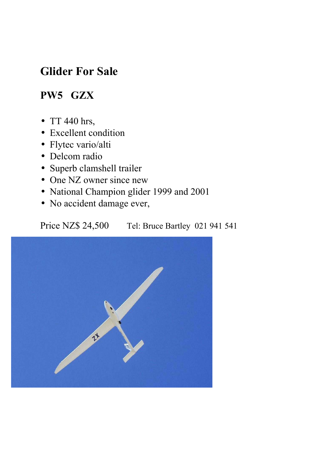# **Glider For Sale**

# **PW5 GZX**

- TT 440 hrs,
- Excellent condition
- Flytec vario/alti
- Delcom radio
- Superb clamshell trailer
- One NZ owner since new
- National Champion glider 1999 and 2001
- No accident damage ever,

Price NZ\$ 24,500 Tel: Bruce Bartley 021 941 541

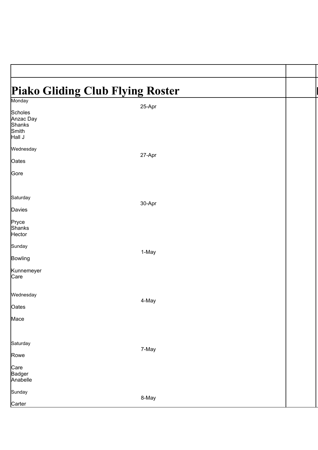## **Piako Gliding Club Flying Roster** Monday 25-Apr **Scholes** Anzac Day Shanks Smith Hall J Wednesday 27-Apr **Oates Gore Saturday** 30-Apr Davies Pryce Shanks **Hector** Sunday 1-May Bowling Kunnemeyer Care Wednesday 4-May **Oates** Mace **Saturday** 7-May Rowe **Care** Badger Anabelle **Sunday** 8-May **Carter**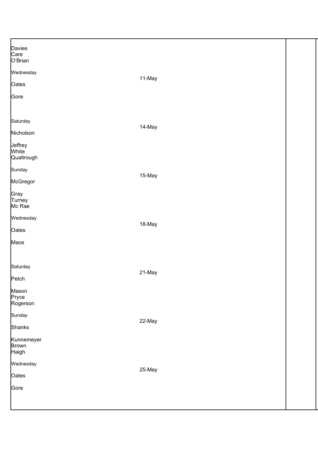| Davies<br>Care          |        |  |
|-------------------------|--------|--|
|                         |        |  |
| O'Brian                 |        |  |
| Wednesday               |        |  |
|                         | 11-May |  |
| Oates                   |        |  |
|                         |        |  |
| Gore                    |        |  |
|                         |        |  |
|                         |        |  |
|                         |        |  |
| Saturday                |        |  |
|                         | 14-May |  |
| Nicholson               |        |  |
|                         |        |  |
| Jeffrey<br><b>White</b> |        |  |
| Qualtrough              |        |  |
|                         |        |  |
| Sunday                  |        |  |
|                         | 15-May |  |
| McGregor                |        |  |
|                         |        |  |
| Gray                    |        |  |
| Turney                  |        |  |
| Mc Rae                  |        |  |
|                         |        |  |
| Wednesday               |        |  |
|                         | 18-May |  |
| Oates                   |        |  |
| Mace                    |        |  |
|                         |        |  |
|                         |        |  |
|                         |        |  |
| Saturday                |        |  |
|                         | 21-May |  |
| Petch                   |        |  |
|                         |        |  |
| Mason                   |        |  |
| Pryce                   |        |  |
| Rogerson                |        |  |
| Sunday                  |        |  |
|                         | 22-May |  |
| Shanks                  |        |  |
|                         |        |  |
| Kunnemeyer              |        |  |
| <b>Brown</b>            |        |  |
| Haigh                   |        |  |
|                         |        |  |
| Wednesday               |        |  |
|                         | 25-May |  |
| Oates                   |        |  |
| Gore                    |        |  |
|                         |        |  |
|                         |        |  |
|                         |        |  |
|                         |        |  |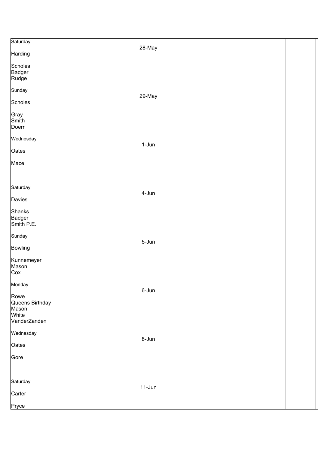| Saturday        | 28-May   |  |
|-----------------|----------|--|
| Harding         |          |  |
| <b>Scholes</b>  |          |  |
| Badger          |          |  |
| Rudge           |          |  |
| Sunday          |          |  |
| <b>Scholes</b>  | 29-May   |  |
| Gray            |          |  |
| Smith           |          |  |
| Doerr           |          |  |
| Wednesday       | $1-Jun$  |  |
| Oates           |          |  |
| Mace            |          |  |
|                 |          |  |
| Saturday        |          |  |
|                 | 4-Jun    |  |
| Davies          |          |  |
| <b>Shanks</b>   |          |  |
| Badger          |          |  |
| Smith P.E.      |          |  |
| Sunday          |          |  |
|                 | 5-Jun    |  |
| <b>Bowling</b>  |          |  |
| Kunnemeyer      |          |  |
| Mason           |          |  |
| Cox             |          |  |
| Monday          |          |  |
|                 | 6-Jun    |  |
| Rowe            |          |  |
| Queens Birthday |          |  |
| Mason           |          |  |
| White           |          |  |
| VanderZanden    |          |  |
| Wednesday       |          |  |
| Oates           | 8-Jun    |  |
|                 |          |  |
| Gore            |          |  |
|                 |          |  |
| Saturday        |          |  |
|                 | $11-Jun$ |  |
| Carter          |          |  |
| Pryce           |          |  |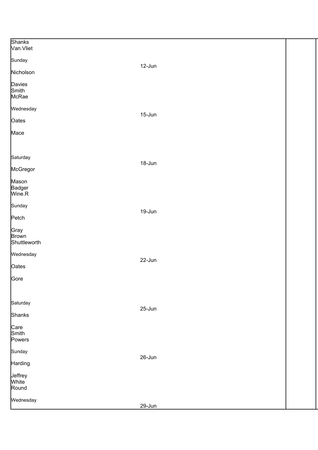| <b>Shanks</b><br>Van.Vliet           |        |  |
|--------------------------------------|--------|--|
| Sunday                               | 12-Jun |  |
| Nicholson                            |        |  |
| Davies<br>Smith<br>McRae             |        |  |
| Wednesday                            |        |  |
| Oates                                | 15-Jun |  |
| Mace                                 |        |  |
| Saturday                             | 18-Jun |  |
| McGregor                             |        |  |
| Mason<br>Badger<br>Wine.R            |        |  |
| Sunday                               |        |  |
| Petch                                | 19-Jun |  |
| Gray<br><b>Brown</b><br>Shuttleworth |        |  |
| Wednesday                            |        |  |
| Oates                                | 22-Jun |  |
| Gore                                 |        |  |
| Saturday                             | 25-Jun |  |
| <b>Shanks</b>                        |        |  |
| Care<br>Smith<br>Powers              |        |  |
| Sunday                               |        |  |
| Harding                              | 26-Jun |  |
| Jeffrey<br><b>White</b><br>Round     |        |  |
| Wednesday                            | 29-Jun |  |